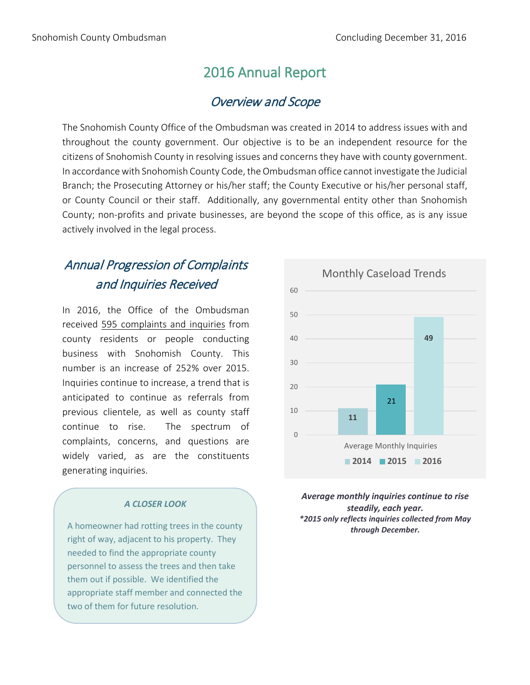## 2016 Annual Report

### Overview and Scope

The Snohomish County Office of the Ombudsman was created in 2014 to address issues with and throughout the county government. Our objective is to be an independent resource for the citizens of Snohomish County in resolving issues and concerns they have with county government. In accordance with Snohomish County Code, the Ombudsman office cannot investigate the Judicial Branch; the Prosecuting Attorney or his/her staff; the County Executive or his/her personal staff, or County Council or their staff. Additionally, any governmental entity other than Snohomish County; non-profits and private businesses, are beyond the scope of this office, as is any issue actively involved in the legal process.

# Annual Progression of Complaints and Inquiries Received

In 2016, the Office of the Ombudsman received 595 complaints and inquiries from county residents or people conducting business with Snohomish County. This number is an increase of 252% over 2015. Inquiries continue to increase, a trend that is anticipated to continue as referrals from previous clientele, as well as county staff continue to rise. The spectrum of complaints, concerns, and questions are widely varied, as are the constituents generating inquiries.

#### *A CLOSER LOOK*

A homeowner had rotting trees in the county right of way, adjacent to his property. They needed to find the appropriate county personnel to assess the trees and then take them out if possible. We identified the appropriate staff member and connected the two of them for future resolution.



*Average monthly inquiries continue to rise steadily, each year. \*2015 only reflects inquiries collected from May through December.*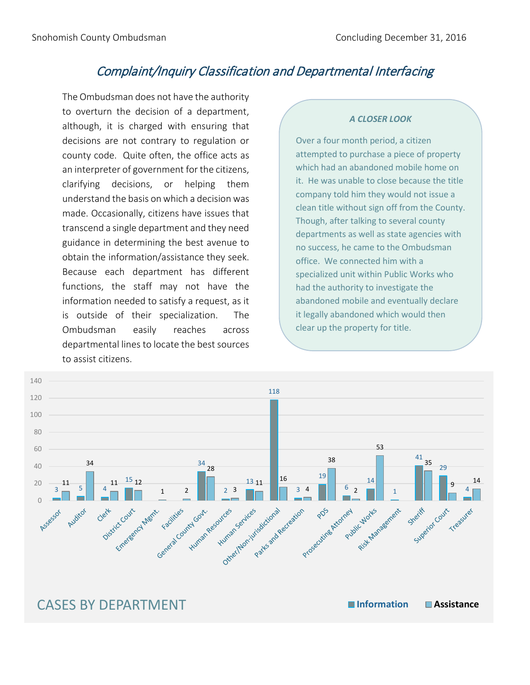### Complaint/Inquiry Classification and Departmental Interfacing

The Ombudsman does not have the authority to overturn the decision of a department, although, it is charged with ensuring that decisions are not contrary to regulation or county code. Quite often, the office acts as an interpreter of government for the citizens, clarifying decisions, or helping them understand the basis on which a decision was made. Occasionally, citizens have issues that transcend a single department and they need guidance in determining the best avenue to obtain the information/assistance they seek. Because each department has different functions, the staff may not have the information needed to satisfy a request, as it is outside of their specialization. The Ombudsman easily reaches across departmental lines to locate the best sources to assist citizens.

#### *A CLOSER LOOK*

Over a four month period, a citizen attempted to purchase a piece of property which had an abandoned mobile home on it. He was unable to close because the title company told him they would not issue a clean title without sign off from the County. Though, after talking to several county departments as well as state agencies with no success, he came to the Ombudsman office. We connected him with a specialized unit within Public Works who had the authority to investigate the abandoned mobile and eventually declare it legally abandoned which would then clear up the property for title.



# CASES BY DEPARTMENT **Information Assistance**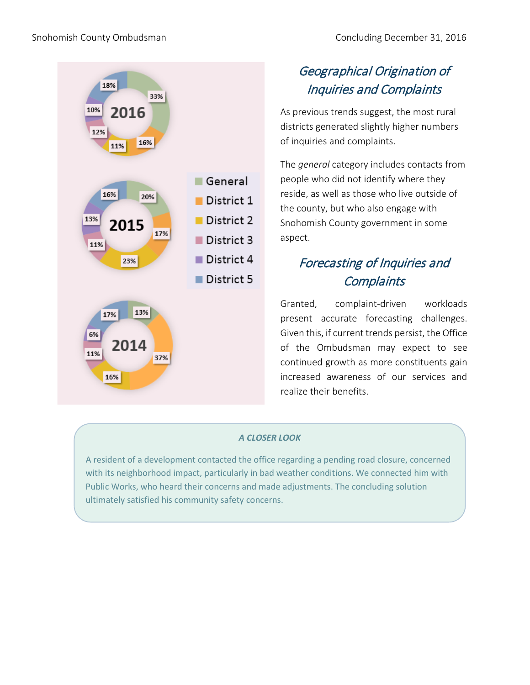

# Geographical Origination of Inquiries and Complaints

As previous trends suggest, the most rural districts generated slightly higher numbers of inquiries and complaints.

The *general* category includes contacts from people who did not identify where they reside, as well as those who live outside of the county, but who also engage with Snohomish County government in some aspect.

# Forecasting of Inquiries and **Complaints**

Granted, complaint-driven workloads present accurate forecasting challenges. Given this, if current trends persist, the Office of the Ombudsman may expect to see continued growth as more constituents gain increased awareness of our services and realize their benefits.

### *A CLOSER LOOK*

A resident of a development contacted the office regarding a pending road closure, concerned with its neighborhood impact, particularly in bad weather conditions. We connected him with Public Works, who heard their concerns and made adjustments. The concluding solution ultimately satisfied his community safety concerns.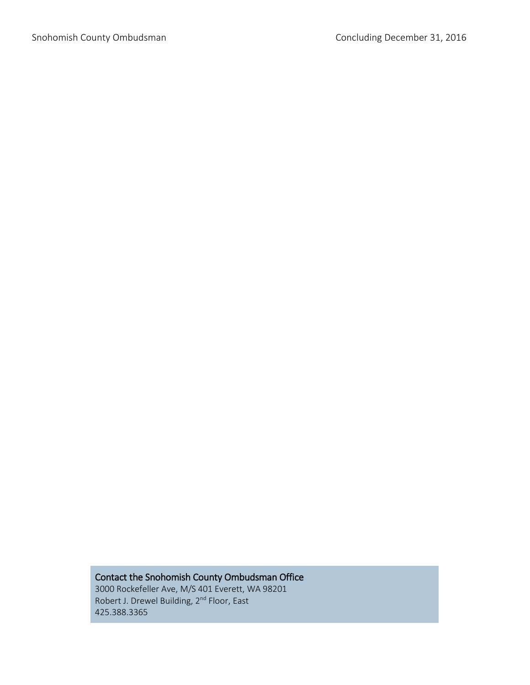### Contact the Snohomish County Ombudsman Office

3000 Rockefeller Ave, M/S 401 Everett, WA 98201 Robert J. Drewel Building, 2<sup>nd</sup> Floor, East 425.388.3365